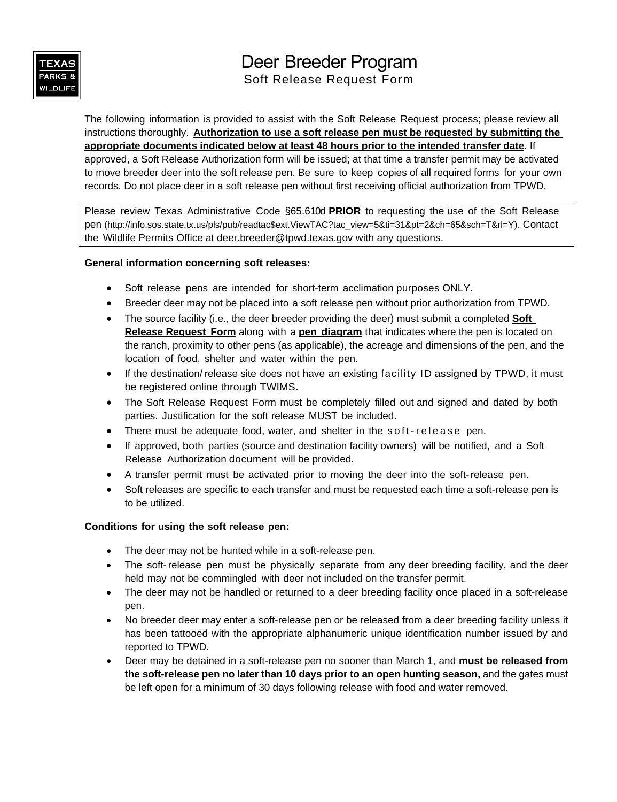

# Deer Breeder Program Soft Release Request Form

The following information is provided to assist with the Soft Release Request process; please review all instructions thoroughly. **Authorization to use a soft release pen must be requested by submitting the appropriate documents indicated below at least 48 hours prior to the intended transfer date**. If approved, a Soft Release Authorization form will be issued; at that time a transfer permit may be activated to move breeder deer into the soft release pen. Be sure to keep copies of all required forms for your own records. Do not place deer in a soft release pen without first receiving official authorization from TPWD.

Please review Texas Administrative Code §65.610d **PRIOR** to requesting the use of the Soft Release pen [\(http://info.sos.state.tx.us/pls/pub/readtac\\$ext.ViewTAC?tac\\_view=5&ti=31&pt=2&ch=65&sch=T&rl=Y\)](http://info.sos.state.tx.us/pls/pub/readtac$ext.ViewTAC?tac_view=5&ti=31&pt=2&ch=65&sch=T&rl=Y). Contact the Wildlife Permits Office at deer.breeder@tpwd.texas.gov with any questions.

## **General information concerning soft releases:**

- Soft release pens are intended for short-term acclimation purposes ONLY.
- Breeder deer may not be placed into a soft release pen without prior authorization from TPWD.
- The source facility (i.e., the deer breeder providing the deer) must submit a completed **Soft Release Request Form** along with a **pen diagram** that indicates where the pen is located on the ranch, proximity to other pens (as applicable), the acreage and dimensions of the pen, and the location of food, shelter and water within the pen.
- If the destination/ release site does not have an existing facility ID assigned by TPWD, it must be registered online through TWIMS.
- The Soft Release Request Form must be completely filled out and signed and dated by both parties. Justification for the soft release MUST be included.
- There must be adequate food, water, and shelter in the soft-release pen.
- If approved, both parties (source and destination facility owners) will be notified, and a Soft Release Authorization document will be provided.
- A transfer permit must be activated prior to moving the deer into the soft-release pen.
- Soft releases are specific to each transfer and must be requested each time a soft-release pen is to be utilized.

#### **Conditions for using the soft release pen:**

- The deer may not be hunted while in a soft-release pen.
- The soft-release pen must be physically separate from any deer breeding facility, and the deer held may not be commingled with deer not included on the transfer permit.
- The deer may not be handled or returned to a deer breeding facility once placed in a soft-release pen.
- No breeder deer may enter a soft-release pen or be released from a deer breeding facility unless it has been tattooed with the appropriate alphanumeric unique identification number issued by and reported to TPWD.
- Deer may be detained in a soft-release pen no sooner than March 1, and **must be released from the soft-release pen no later than 10 days prior to an open hunting season,** and the gates must be left open for a minimum of 30 days following release with food and water removed.